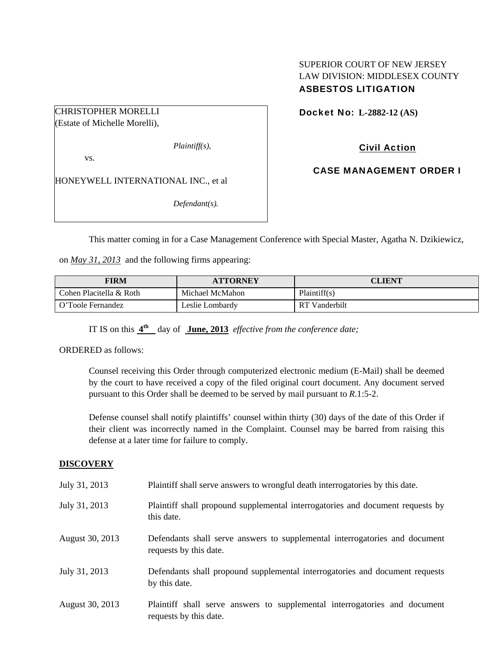# SUPERIOR COURT OF NEW JERSEY LAW DIVISION: MIDDLESEX COUNTY ASBESTOS LITIGATION

Docket No: **L-2882-12 (AS)** 

CHRISTOPHER MORELLI (Estate of Michelle Morelli),

*Plaintiff(s),* 

vs.

HONEYWELL INTERNATIONAL INC., et al

*Defendant(s).* 

Civil Action

CASE MANAGEMENT ORDER I

This matter coming in for a Case Management Conference with Special Master, Agatha N. Dzikiewicz,

on *May 31, 2013* and the following firms appearing:

| FIRM                    | <b>ATTORNEY</b> | CLIENT           |
|-------------------------|-----------------|------------------|
| Cohen Placitella & Roth | Michael McMahon | Plaintiff(s)     |
| O'Toole Fernandez       | Leslie Lombardv | Vanderbilt<br>RT |

IT IS on this **4th** day of **June, 2013** *effective from the conference date;*

ORDERED as follows:

Counsel receiving this Order through computerized electronic medium (E-Mail) shall be deemed by the court to have received a copy of the filed original court document. Any document served pursuant to this Order shall be deemed to be served by mail pursuant to *R*.1:5-2.

Defense counsel shall notify plaintiffs' counsel within thirty (30) days of the date of this Order if their client was incorrectly named in the Complaint. Counsel may be barred from raising this defense at a later time for failure to comply.

# **DISCOVERY**

| July 31, 2013   | Plaintiff shall serve answers to wrongful death interrogatories by this date.                         |
|-----------------|-------------------------------------------------------------------------------------------------------|
| July 31, 2013   | Plaintiff shall propound supplemental interrogatories and document requests by<br>this date.          |
| August 30, 2013 | Defendants shall serve answers to supplemental interrogatories and document<br>requests by this date. |
| July 31, 2013   | Defendants shall propound supplemental interrogatories and document requests<br>by this date.         |
| August 30, 2013 | Plaintiff shall serve answers to supplemental interrogatories and document<br>requests by this date.  |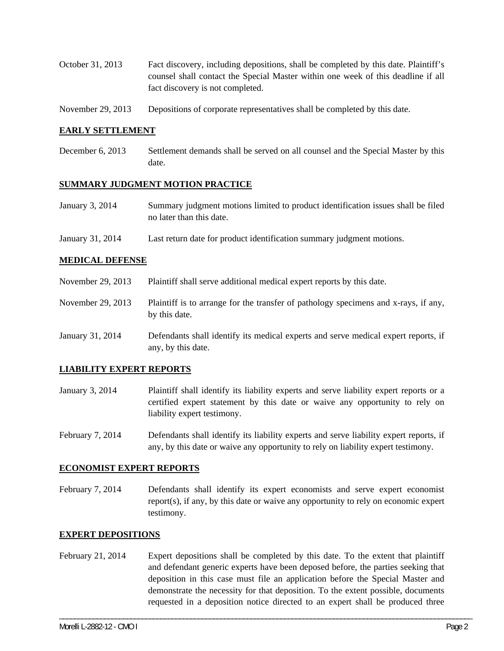- October 31, 2013 Fact discovery, including depositions, shall be completed by this date. Plaintiff's counsel shall contact the Special Master within one week of this deadline if all fact discovery is not completed.
- November 29, 2013 Depositions of corporate representatives shall be completed by this date.

## **EARLY SETTLEMENT**

December 6, 2013 Settlement demands shall be served on all counsel and the Special Master by this date.

#### **SUMMARY JUDGMENT MOTION PRACTICE**

- January 3, 2014 Summary judgment motions limited to product identification issues shall be filed no later than this date.
- January 31, 2014 Last return date for product identification summary judgment motions.

## **MEDICAL DEFENSE**

- November 29, 2013 Plaintiff shall serve additional medical expert reports by this date.
- November 29, 2013 Plaintiff is to arrange for the transfer of pathology specimens and x-rays, if any, by this date.
- January 31, 2014 Defendants shall identify its medical experts and serve medical expert reports, if any, by this date.

#### **LIABILITY EXPERT REPORTS**

- January 3, 2014 Plaintiff shall identify its liability experts and serve liability expert reports or a certified expert statement by this date or waive any opportunity to rely on liability expert testimony.
- February 7, 2014 Defendants shall identify its liability experts and serve liability expert reports, if any, by this date or waive any opportunity to rely on liability expert testimony.

#### **ECONOMIST EXPERT REPORTS**

February 7, 2014 Defendants shall identify its expert economists and serve expert economist report(s), if any, by this date or waive any opportunity to rely on economic expert testimony.

#### **EXPERT DEPOSITIONS**

February 21, 2014 Expert depositions shall be completed by this date. To the extent that plaintiff and defendant generic experts have been deposed before, the parties seeking that deposition in this case must file an application before the Special Master and demonstrate the necessity for that deposition. To the extent possible, documents requested in a deposition notice directed to an expert shall be produced three

\_\_\_\_\_\_\_\_\_\_\_\_\_\_\_\_\_\_\_\_\_\_\_\_\_\_\_\_\_\_\_\_\_\_\_\_\_\_\_\_\_\_\_\_\_\_\_\_\_\_\_\_\_\_\_\_\_\_\_\_\_\_\_\_\_\_\_\_\_\_\_\_\_\_\_\_\_\_\_\_\_\_\_\_\_\_\_\_\_\_\_\_\_\_\_\_\_\_\_\_\_\_\_\_\_\_\_\_\_\_